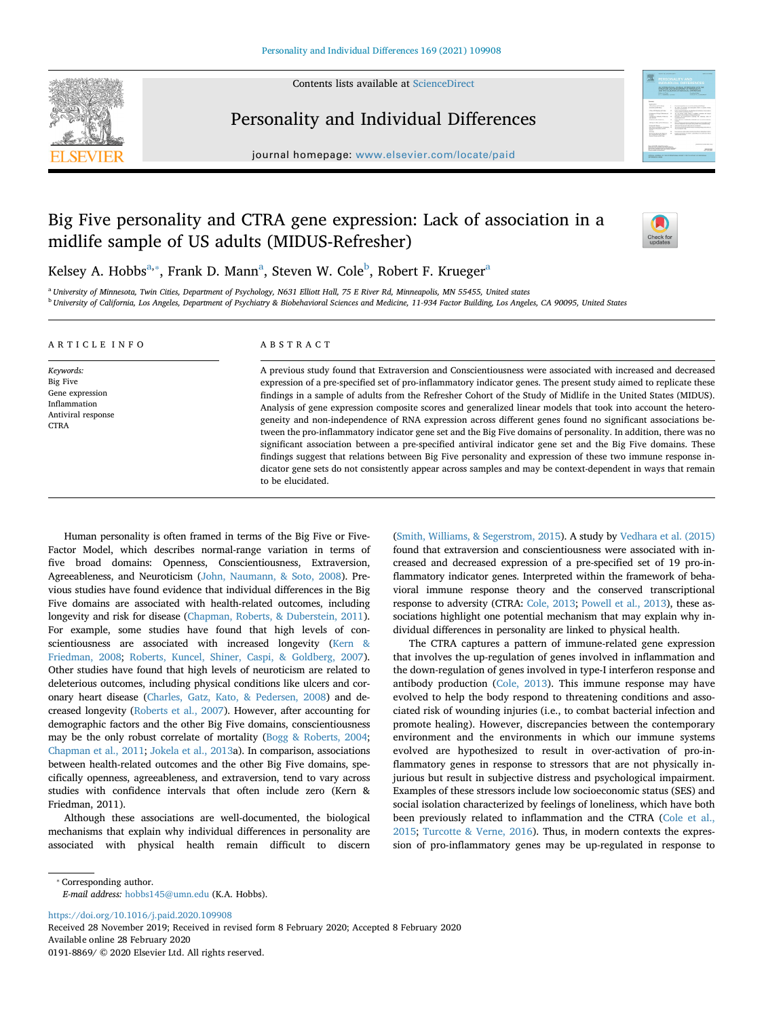

Contents lists available at [ScienceDirect](http://www.sciencedirect.com/science/journal/01918869)

# Personality and Individual Differences



journal homepage: [www.elsevier.com/locate/paid](https://www.elsevier.com/locate/paid)

# Big Five personality and CTRA gene expression: Lack of association in a midlife sample of US adults (MIDUS-Refresher)



Kelsey A. Ho[b](#page-0-2)bs $^{\mathrm{a},*}$  $^{\mathrm{a},*}$  $^{\mathrm{a},*}$ , Frank D. Mann $^{\mathrm{a}}$ , Steven W. Cole $^{\mathrm{b}}$ , Robert F. Krueger $^{\mathrm{a}}$ 

to be elucidated.

<span id="page-0-2"></span><span id="page-0-0"></span><sup>a</sup> *University of Minnesota, Twin Cities, Department of Psychology, N631 Elliott Hall, 75 E River Rd, Minneapolis, MN 55455, United states* <sup>b</sup> *University of California, Los Angeles, Department of Psychiatry & Biobehavioral Sciences and Medicine, 11-934 Factor Building, Los Angeles, CA 90095, United States*

| ARTICLE INFO                                                                           | ABSTRACT                                                                                                                                                                                                                                                                                                                                                                                                                                                                                                                                                                                                                                                                                                                                                                                                                                                                                                                                                                                                                                               |
|----------------------------------------------------------------------------------------|--------------------------------------------------------------------------------------------------------------------------------------------------------------------------------------------------------------------------------------------------------------------------------------------------------------------------------------------------------------------------------------------------------------------------------------------------------------------------------------------------------------------------------------------------------------------------------------------------------------------------------------------------------------------------------------------------------------------------------------------------------------------------------------------------------------------------------------------------------------------------------------------------------------------------------------------------------------------------------------------------------------------------------------------------------|
| Keywords:<br>Big Five<br>Gene expression<br>Inflammation<br>Antiviral response<br>CTRA | A previous study found that Extraversion and Conscientiousness were associated with increased and decreased<br>expression of a pre-specified set of pro-inflammatory indicator genes. The present study aimed to replicate these<br>findings in a sample of adults from the Refresher Cohort of the Study of Midlife in the United States (MIDUS).<br>Analysis of gene expression composite scores and generalized linear models that took into account the hetero-<br>geneity and non-independence of RNA expression across different genes found no significant associations be-<br>tween the pro-inflammatory indicator gene set and the Big Five domains of personality. In addition, there was no<br>significant association between a pre-specified antiviral indicator gene set and the Big Five domains. These<br>findings suggest that relations between Big Five personality and expression of these two immune response in-<br>dicator gene sets do not consistently appear across samples and may be context-dependent in ways that remain |

Human personality is often framed in terms of the Big Five or Five-Factor Model, which describes normal-range variation in terms of five broad domains: Openness, Conscientiousness, Extraversion, Agreeableness, and Neuroticism ([John, Naumann, & Soto, 2008](#page-5-0)). Previous studies have found evidence that individual differences in the Big Five domains are associated with health-related outcomes, including longevity and risk for disease [\(Chapman, Roberts, & Duberstein, 2011\)](#page-5-1). For example, some studies have found that high levels of conscientiousness are associated with increased longevity [\(Kern &](#page-6-0) [Friedman, 2008;](#page-6-0) [Roberts, Kuncel, Shiner, Caspi, & Goldberg, 2007\)](#page-6-1). Other studies have found that high levels of neuroticism are related to deleterious outcomes, including physical conditions like ulcers and coronary heart disease ([Charles, Gatz, Kato, & Pedersen, 2008](#page-5-2)) and decreased longevity ([Roberts et al., 2007\)](#page-6-1). However, after accounting for demographic factors and the other Big Five domains, conscientiousness may be the only robust correlate of mortality ([Bogg & Roberts, 2004](#page-5-3); [Chapman et al., 2011;](#page-5-1) [Jokela et al., 2013a](#page-5-4)). In comparison, associations between health-related outcomes and the other Big Five domains, specifically openness, agreeableness, and extraversion, tend to vary across studies with confidence intervals that often include zero (Kern & Friedman, 2011).

Although these associations are well-documented, the biological mechanisms that explain why individual differences in personality are associated with physical health remain difficult to discern

([Smith, Williams, & Segerstrom, 2015](#page-6-2)). A study by [Vedhara et al. \(2015\)](#page-6-3) found that extraversion and conscientiousness were associated with increased and decreased expression of a pre-specified set of 19 pro-inflammatory indicator genes. Interpreted within the framework of behavioral immune response theory and the conserved transcriptional response to adversity (CTRA: [Cole, 2013;](#page-5-5) [Powell et al., 2013\)](#page-6-4), these associations highlight one potential mechanism that may explain why individual differences in personality are linked to physical health.

The CTRA captures a pattern of immune-related gene expression that involves the up-regulation of genes involved in inflammation and the down-regulation of genes involved in type-I interferon response and antibody production [\(Cole, 2013\)](#page-5-5). This immune response may have evolved to help the body respond to threatening conditions and associated risk of wounding injuries (i.e., to combat bacterial infection and promote healing). However, discrepancies between the contemporary environment and the environments in which our immune systems evolved are hypothesized to result in over-activation of pro-inflammatory genes in response to stressors that are not physically injurious but result in subjective distress and psychological impairment. Examples of these stressors include low socioeconomic status (SES) and social isolation characterized by feelings of loneliness, which have both been previously related to inflammation and the CTRA [\(Cole et al.,](#page-5-6) [2015;](#page-5-6) [Turcotte & Verne, 2016](#page-6-5)). Thus, in modern contexts the expression of pro-inflammatory genes may be up-regulated in response to

*E-mail address:* [hobbs145@umn.edu](mailto:hobbs145@umn.edu) (K.A. Hobbs).

<https://doi.org/10.1016/j.paid.2020.109908>

Received 28 November 2019; Received in revised form 8 February 2020; Accepted 8 February 2020 Available online 28 February 2020 0191-8869/ © 2020 Elsevier Ltd. All rights reserved.

<span id="page-0-1"></span><sup>⁎</sup> Corresponding author.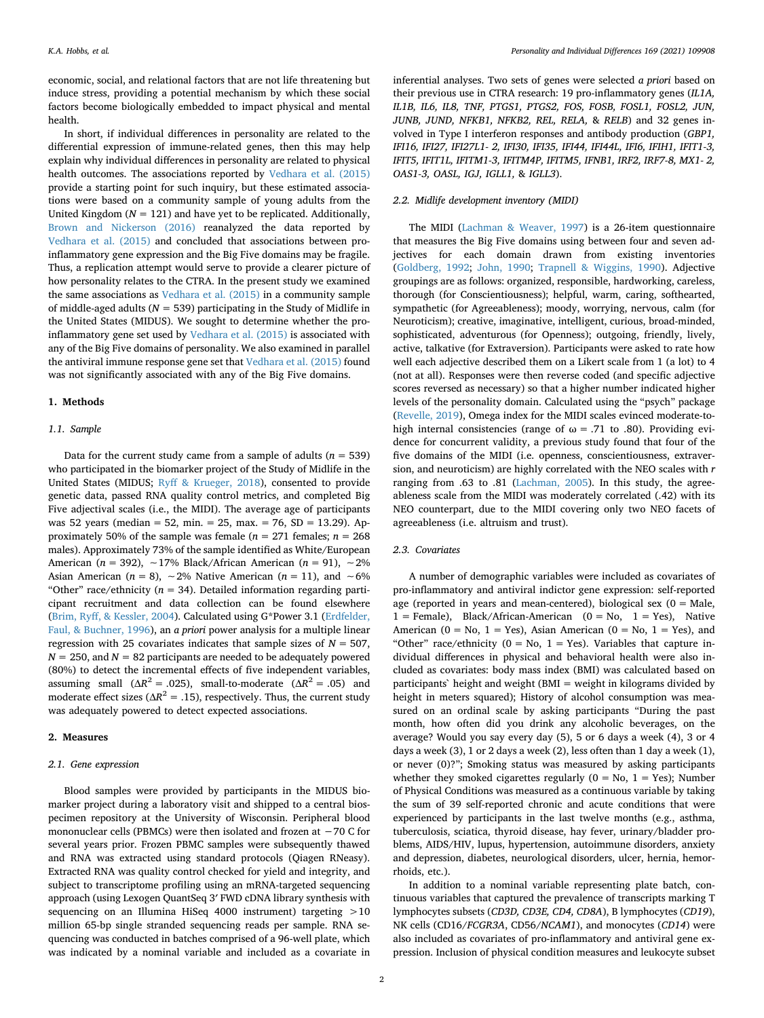economic, social, and relational factors that are not life threatening but induce stress, providing a potential mechanism by which these social factors become biologically embedded to impact physical and mental health.

In short, if individual differences in personality are related to the differential expression of immune-related genes, then this may help explain why individual differences in personality are related to physical health outcomes. The associations reported by [Vedhara et al. \(2015\)](#page-6-3) provide a starting point for such inquiry, but these estimated associations were based on a community sample of young adults from the United Kingdom  $(N = 121)$  and have vet to be replicated. Additionally, [Brown and Nickerson \(2016\)](#page-5-7) reanalyzed the data reported by [Vedhara et al. \(2015\)](#page-6-3) and concluded that associations between proinflammatory gene expression and the Big Five domains may be fragile. Thus, a replication attempt would serve to provide a clearer picture of how personality relates to the CTRA. In the present study we examined the same associations as [Vedhara et al. \(2015\)](#page-6-3) in a community sample of middle-aged adults ( $N = 539$ ) participating in the Study of Midlife in the United States (MIDUS). We sought to determine whether the proinflammatory gene set used by [Vedhara et al. \(2015\)](#page-6-3) is associated with any of the Big Five domains of personality. We also examined in parallel the antiviral immune response gene set that [Vedhara et al. \(2015\)](#page-6-3) found was not significantly associated with any of the Big Five domains.

## **1. Methods**

#### *1.1. Sample*

Data for the current study came from a sample of adults  $(n = 539)$ who participated in the biomarker project of the Study of Midlife in the United States (MIDUS; [Ryff & Krueger, 2018\)](#page-6-6), consented to provide genetic data, passed RNA quality control metrics, and completed Big Five adjectival scales (i.e., the MIDI). The average age of participants was 52 years (median = 52, min. = 25, max. = 76, SD = 13.29). Approximately 50% of the sample was female ( $n = 271$  females;  $n = 268$ males). Approximately 73% of the sample identified as White/European American (*n* = 392), ∼17% Black/African American (*n* = 91), ∼2% Asian American ( $n = 8$ ), ~2% Native American ( $n = 11$ ), and ~6% "Other" race/ethnicity ( $n = 34$ ). Detailed information regarding participant recruitment and data collection can be found elsewhere ([Brim, Ryff, & Kessler, 2004\)](#page-5-8). Calculated using G\*Power 3.1 ([Erdfelder,](#page-5-9) [Faul, & Buchner, 1996](#page-5-9)), an *a priori* power analysis for a multiple linear regression with 25 covariates indicates that sample sizes of *N* = 507,  $N = 250$ , and  $N = 82$  participants are needed to be adequately powered (80%) to detect the incremental effects of five independent variables, assuming small ( $\Delta R^2$  = .025), small-to-moderate ( $\Delta R^2$  = .05) and moderate effect sizes ( $\Delta R^2$  = .15), respectively. Thus, the current study was adequately powered to detect expected associations.

#### **2. Measures**

## *2.1. Gene expression*

Blood samples were provided by participants in the MIDUS biomarker project during a laboratory visit and shipped to a central biospecimen repository at the University of Wisconsin. Peripheral blood mononuclear cells (PBMCs) were then isolated and frozen at −70 C for several years prior. Frozen PBMC samples were subsequently thawed and RNA was extracted using standard protocols (Qiagen RNeasy). Extracted RNA was quality control checked for yield and integrity, and subject to transcriptome profiling using an mRNA-targeted sequencing approach (using Lexogen QuantSeq 3′ FWD cDNA library synthesis with sequencing on an Illumina HiSeq 4000 instrument) targeting >10 million 65-bp single stranded sequencing reads per sample. RNA sequencing was conducted in batches comprised of a 96-well plate, which was indicated by a nominal variable and included as a covariate in inferential analyses. Two sets of genes were selected *a priori* based on their previous use in CTRA research: 19 pro-inflammatory genes (*IL1A, IL1B, IL6, IL8, TNF, PTGS1, PTGS2, FOS, FOSB, FOSL1, FOSL2, JUN, JUNB, JUND, NFKB1, NFKB2, REL, RELA,* & *RELB*) and 32 genes involved in Type I interferon responses and antibody production (*GBP1, IFI16, IFI27, IFI27L1- 2, IFI30, IFI35, IFI44, IFI44L, IFI6, IFIH1, IFIT1-3, IFIT5, IFIT1L, IFITM1-3, IFITM4P, IFITM5, IFNB1, IRF2, IRF7-8, MX1- 2, OAS1-3, OASL, IGJ, IGLL1,* & *IGLL3*).

# *2.2. Midlife development inventory (MIDI)*

The MIDI [\(Lachman & Weaver, 1997](#page-6-7)) is a 26-item questionnaire that measures the Big Five domains using between four and seven adjectives for each domain drawn from existing inventories ([Goldberg, 1992](#page-5-10); [John, 1990;](#page-5-11) [Trapnell & Wiggins, 1990](#page-6-8)). Adjective groupings are as follows: organized, responsible, hardworking, careless, thorough (for Conscientiousness); helpful, warm, caring, softhearted, sympathetic (for Agreeableness); moody, worrying, nervous, calm (for Neuroticism); creative, imaginative, intelligent, curious, broad-minded, sophisticated, adventurous (for Openness); outgoing, friendly, lively, active, talkative (for Extraversion). Participants were asked to rate how well each adjective described them on a Likert scale from 1 (a lot) to 4 (not at all). Responses were then reverse coded (and specific adjective scores reversed as necessary) so that a higher number indicated higher levels of the personality domain. Calculated using the "psych" package ([Revelle, 2019\)](#page-6-9), Omega index for the MIDI scales evinced moderate-tohigh internal consistencies (range of  $ω = .71$  to .80). Providing evidence for concurrent validity, a previous study found that four of the five domains of the MIDI (i.e. openness, conscientiousness, extraversion, and neuroticism) are highly correlated with the NEO scales with *r* ranging from .63 to .81 [\(Lachman, 2005\)](#page-6-10). In this study, the agreeableness scale from the MIDI was moderately correlated (.42) with its NEO counterpart, due to the MIDI covering only two NEO facets of agreeableness (i.e. altruism and trust).

## *2.3. Covariates*

A number of demographic variables were included as covariates of pro-inflammatory and antiviral indictor gene expression: self-reported age (reported in years and mean-centered), biological sex  $(0 = Male,$  $1 =$  Female), Black/African-American ( $0 =$  No,  $1 =$  Yes), Native American ( $0 = No$ ,  $1 = Yes$ ), Asian American ( $0 = No$ ,  $1 = Yes$ ), and "Other" race/ethnicity ( $0 = No$ ,  $1 = Yes$ ). Variables that capture individual differences in physical and behavioral health were also included as covariates: body mass index (BMI) was calculated based on participants` height and weight (BMI = weight in kilograms divided by height in meters squared); History of alcohol consumption was measured on an ordinal scale by asking participants "During the past month, how often did you drink any alcoholic beverages, on the average? Would you say every day (5), 5 or 6 days a week (4), 3 or 4 days a week (3), 1 or 2 days a week (2), less often than 1 day a week (1), or never (0)?"; Smoking status was measured by asking participants whether they smoked cigarettes regularly ( $0 = No$ ,  $1 = Yes$ ); Number of Physical Conditions was measured as a continuous variable by taking the sum of 39 self-reported chronic and acute conditions that were experienced by participants in the last twelve months (e.g., asthma, tuberculosis, sciatica, thyroid disease, hay fever, urinary/bladder problems, AIDS/HIV, lupus, hypertension, autoimmune disorders, anxiety and depression, diabetes, neurological disorders, ulcer, hernia, hemorrhoids, etc.).

In addition to a nominal variable representing plate batch, continuous variables that captured the prevalence of transcripts marking T lymphocytes subsets (*CD3D, CD3E, CD4, CD8A*), B lymphocytes (*CD19*), NK cells (CD16/*FCGR3A*, CD56/*NCAM1*), and monocytes (*CD14*) were also included as covariates of pro-inflammatory and antiviral gene expression. Inclusion of physical condition measures and leukocyte subset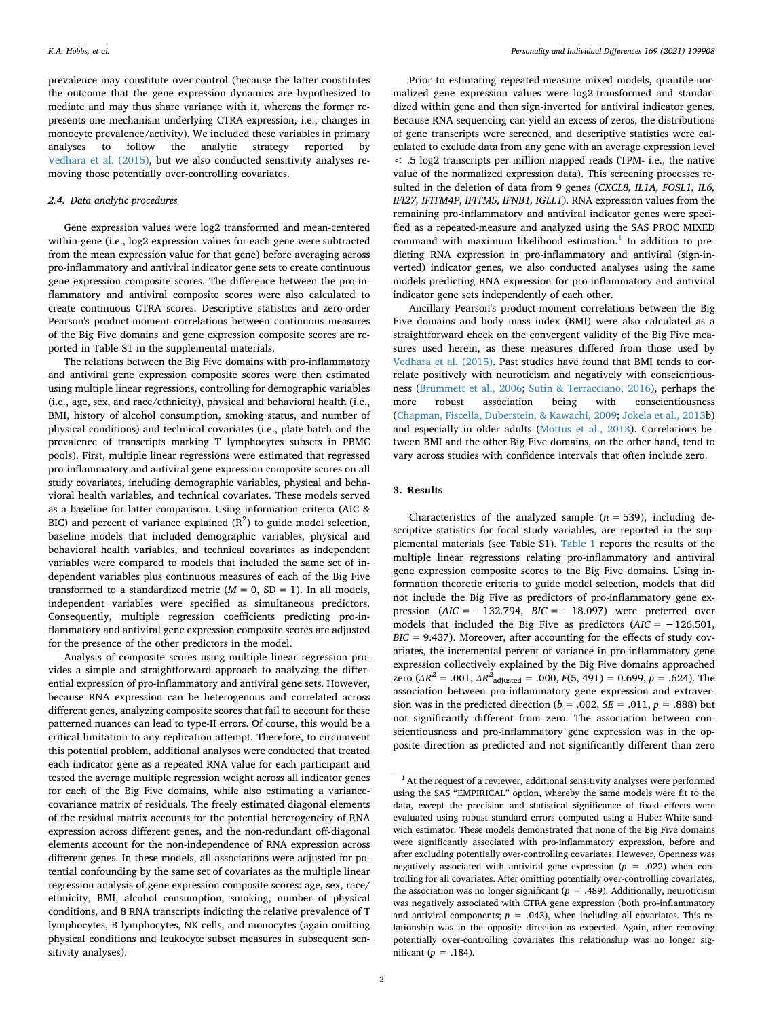prevalence may constitute over-control (because the latter constitutes the outcome that the gene expression dynamics are hypothesized to mediate and may thus share variance with it, whereas the former represents one mechanism underlying CTRA expression, i.e., changes in monocyte prevalence/activity). We included these variables in primary analyses to follow the analytic strategy reported by [Vedhara et al. \(2015\)](#page-6-3), but we also conducted sensitivity analyses removing those potentially over-controlling covariates.

# *2.4. Data analytic procedures*

Gene expression values were log2 transformed and mean-centered within-gene (i.e., log2 expression values for each gene were subtracted from the mean expression value for that gene) before averaging across pro-inflammatory and antiviral indicator gene sets to create continuous gene expression composite scores. The difference between the pro-inflammatory and antiviral composite scores were also calculated to create continuous CTRA scores. Descriptive statistics and zero-order Pearson's product-moment correlations between continuous measures of the Big Five domains and gene expression composite scores are reported in Table S1 in the supplemental materials.

The relations between the Big Five domains with pro-inflammatory and antiviral gene expression composite scores were then estimated using multiple linear regressions, controlling for demographic variables (i.e., age, sex, and race/ethnicity), physical and behavioral health (i.e., BMI, history of alcohol consumption, smoking status, and number of physical conditions) and technical covariates (i.e., plate batch and the prevalence of transcripts marking T lymphocytes subsets in PBMC pools). First, multiple linear regressions were estimated that regressed pro-inflammatory and antiviral gene expression composite scores on all study covariates, including demographic variables, physical and behavioral health variables, and technical covariates. These models served as a baseline for latter comparison. Using information criteria (AIC & BIC) and percent of variance explained  $(R^2)$  to guide model selection, baseline models that included demographic variables, physical and behavioral health variables, and technical covariates as independent variables were compared to models that included the same set of independent variables plus continuous measures of each of the Big Five transformed to a standardized metric  $(M = 0, SD = 1)$ . In all models, independent variables were specified as simultaneous predictors. Consequently, multiple regression coefficients predicting pro-inflammatory and antiviral gene expression composite scores are adjusted for the presence of the other predictors in the model.

Analysis of composite scores using multiple linear regression provides a simple and straightforward approach to analyzing the differential expression of pro-inflammatory and antiviral gene sets. However, because RNA expression can be heterogenous and correlated across different genes, analyzing composite scores that fail to account for these patterned nuances can lead to type-II errors. Of course, this would be a critical limitation to any replication attempt. Therefore, to circumvent this potential problem, additional analyses were conducted that treated each indicator gene as a repeated RNA value for each participant and tested the average multiple regression weight across all indicator genes for each of the Big Five domains, while also estimating a variancecovariance matrix of residuals. The freely estimated diagonal elements of the residual matrix accounts for the potential heterogeneity of RNA expression across different genes, and the non-redundant off-diagonal elements account for the non-independence of RNA expression across different genes. In these models, all associations were adjusted for potential confounding by the same set of covariates as the multiple linear regression analysis of gene expression composite scores: age, sex, race/ ethnicity, BMI, alcohol consumption, smoking, number of physical conditions, and 8 RNA transcripts indicting the relative prevalence of T lymphocytes, B lymphocytes, NK cells, and monocytes (again omitting physical conditions and leukocyte subset measures in subsequent sensitivity analyses).

Prior to estimating repeated-measure mixed models, quantile-normalized gene expression values were log2-transformed and standardized within gene and then sign-inverted for antiviral indicator genes. Because RNA sequencing can yield an excess of zeros, the distributions of gene transcripts were screened, and descriptive statistics were calculated to exclude data from any gene with an average expression level < .5 log2 transcripts per million mapped reads (TPM- i.e., the native value of the normalized expression data). This screening processes resulted in the deletion of data from 9 genes (*CXCL8, IL1A, FOSL1, IL6, IFI27, IFITM4P, IFITM5, IFNB1, IGLL1*). RNA expression values from the remaining pro-inflammatory and antiviral indicator genes were specified as a repeated-measure and analyzed using the SAS PROC MIXED command with maximum likelihood estimation.<sup>[1](#page-2-0)</sup> In addition to predicting RNA expression in pro-inflammatory and antiviral (sign-inverted) indicator genes, we also conducted analyses using the same models predicting RNA expression for pro-inflammatory and antiviral indicator gene sets independently of each other.

Ancillary Pearson's product-moment correlations between the Big Five domains and body mass index (BMI) were also calculated as a straightforward check on the convergent validity of the Big Five measures used herein, as these measures differed from those used by [Vedhara et al. \(2015\)](#page-6-3). Past studies have found that BMI tends to correlate positively with neuroticism and negatively with conscientiousness [\(Brummett et al., 2006](#page-5-12); [Sutin & Terracciano, 2016](#page-6-5)), perhaps the more robust association being with conscientiousness ([Chapman, Fiscella, Duberstein, & Kawachi, 2009](#page-5-13); [Jokela et al., 2013](#page-5-14)b) and especially in older adults [\(Mõttus et al., 2013\)](#page-6-11). Correlations between BMI and the other Big Five domains, on the other hand, tend to vary across studies with confidence intervals that often include zero.

## **3. Results**

Characteristics of the analyzed sample  $(n = 539)$ , including descriptive statistics for focal study variables, are reported in the supplemental materials (see Table S1). [Table 1](#page-3-0) reports the results of the multiple linear regressions relating pro-inflammatory and antiviral gene expression composite scores to the Big Five domains. Using information theoretic criteria to guide model selection, models that did not include the Big Five as predictors of pro-inflammatory gene expression (*AIC* = −132.794, *BIC* = −18.097) were preferred over models that included the Big Five as predictors  $(AIC = -126.501,$  $BIC = 9.437$ ). Moreover, after accounting for the effects of study covariates, the incremental percent of variance in pro-inflammatory gene expression collectively explained by the Big Five domains approached zero ( $\Delta R^2$  = .001,  $\Delta R^2$ <sub>adjusted</sub> = .000,  $F(5, 491)$  = 0.699,  $p$  = .624). The association between pro-inflammatory gene expression and extraversion was in the predicted direction ( $b = .002$ ,  $SE = .011$ ,  $p = .888$ ) but not significantly different from zero. The association between conscientiousness and pro-inflammatory gene expression was in the opposite direction as predicted and not significantly different than zero

<span id="page-2-0"></span><sup>&</sup>lt;sup>1</sup> At the request of a reviewer, additional sensitivity analyses were performed using the SAS "EMPIRICAL" option, whereby the same models were fit to the data, except the precision and statistical significance of fixed effects were evaluated using robust standard errors computed using a Huber-White sandwich estimator. These models demonstrated that none of the Big Five domains were significantly associated with pro-inflammatory expression, before and after excluding potentially over-controlling covariates. However, Openness was negatively associated with antiviral gene expression  $(p = .022)$  when controlling for all covariates. After omitting potentially over-controlling covariates, the association was no longer significant  $(p = .489)$ . Additionally, neuroticism was negatively associated with CTRA gene expression (both pro-inflammatory and antiviral components;  $p = .043$ ), when including all covariates. This relationship was in the opposite direction as expected. Again, after removing potentially over-controlling covariates this relationship was no longer significant (*p* = .184).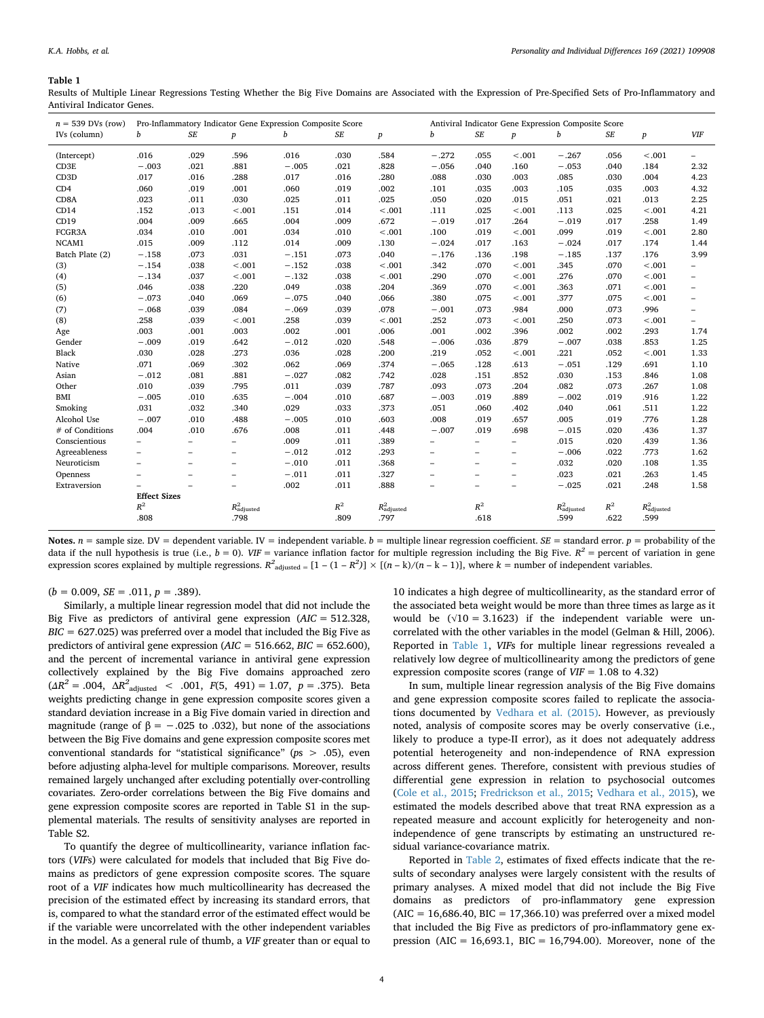#### <span id="page-3-0"></span>**Table 1**

Results of Multiple Linear Regressions Testing Whether the Big Five Domains are Associated with the Expression of Pre-Specified Sets of Pro-Inflammatory and Antiviral Indicator Genes.

| $n = 539$ DVs (row) | Pro-Inflammatory Indicator Gene Expression Composite Score |                          |                          |         |                      | Antiviral Indicator Gene Expression Composite Score |                          |                          |                          |                         |                      |                      |                          |
|---------------------|------------------------------------------------------------|--------------------------|--------------------------|---------|----------------------|-----------------------------------------------------|--------------------------|--------------------------|--------------------------|-------------------------|----------------------|----------------------|--------------------------|
| IVs (column)        | b                                                          | $S\!E$                   | $\boldsymbol{p}$         | b       | $S\hspace{-0.08em}E$ | $\boldsymbol{p}$                                    | b                        | $\cal SE$                | $\boldsymbol{p}$         | b                       | $S\hspace{-0.08em}E$ | $\boldsymbol{p}$     | VIF                      |
| (Intercept)         | .016                                                       | .029                     | .596                     | .016    | .030                 | .584                                                | $-.272$                  | .055                     | $-.001$                  | $-.267$                 | .056                 | < .001               | $\overline{\phantom{a}}$ |
| CD3E                | $-.003$                                                    | .021                     | .881                     | $-.005$ | .021                 | .828                                                | $-.056$                  | .040                     | .160                     | $-.053$                 | .040                 | .184                 | 2.32                     |
| CD <sub>3</sub> D   | .017                                                       | .016                     | .288                     | .017    | .016                 | .280                                                | .088                     | .030                     | .003                     | .085                    | .030                 | .004                 | 4.23                     |
| CD4                 | .060                                                       | .019                     | .001                     | .060    | .019                 | .002                                                | .101                     | .035                     | .003                     | .105                    | .035                 | .003                 | 4.32                     |
| CD8A                | .023                                                       | .011                     | .030                     | .025    | .011                 | .025                                                | .050                     | .020                     | .015                     | .051                    | .021                 | .013                 | 2.25                     |
| CD14                | .152                                                       | .013                     | $-.001$                  | .151    | .014                 | $-.001$                                             | .111                     | .025                     | $-.001$                  | .113                    | .025                 | < .001               | 4.21                     |
| CD19                | .004                                                       | .009                     | .665                     | .004    | .009                 | .672                                                | $-.019$                  | .017                     | .264                     | $-.019$                 | .017                 | .258                 | 1.49                     |
| FCGR3A              | .034                                                       | .010                     | .001                     | .034    | .010                 | < .001                                              | .100                     | .019                     | $-.001$                  | .099                    | .019                 | $-.001$              | 2.80                     |
| NCAM1               | .015                                                       | .009                     | .112                     | .014    | .009                 | .130                                                | $-.024$                  | .017                     | .163                     | $-.024$                 | .017                 | .174                 | 1.44                     |
| Batch Plate (2)     | $-.158$                                                    | .073                     | .031                     | $-.151$ | .073                 | .040                                                | $-.176$                  | .136                     | .198                     | $-.185$                 | .137                 | .176                 | 3.99                     |
| (3)                 | $-.154$                                                    | .038                     | $-.001$                  | $-.152$ | .038                 | < .001                                              | .342                     | .070                     | $-.001$                  | .345                    | .070                 | $-.001$              | $\qquad \qquad -$        |
| (4)                 | $-.134$                                                    | .037                     | $-.001$                  | $-.132$ | .038                 | < .001                                              | .290                     | .070                     | $-.001$                  | .276                    | .070                 | $-.001$              | $\overline{\phantom{m}}$ |
| (5)                 | .046                                                       | .038                     | .220                     | .049    | .038                 | .204                                                | .369                     | .070                     | $-.001$                  | .363                    | .071                 | $-.001$              | $\overline{\phantom{a}}$ |
| (6)                 | $-.073$                                                    | .040                     | .069                     | $-.075$ | .040                 | .066                                                | .380                     | .075                     | $-.001$                  | .377                    | .075                 | $-.001$              | $\overline{\phantom{m}}$ |
| (7)                 | $-.068$                                                    | .039                     | .084                     | $-.069$ | .039                 | .078                                                | $-.001$                  | .073                     | .984                     | .000                    | .073                 | .996                 | $\overline{\phantom{a}}$ |
| (8)                 | .258                                                       | .039                     | $-.001$                  | .258    | .039                 | $-.001$                                             | .252                     | .073                     | $-.001$                  | .250                    | .073                 | $-.001$              | $\overline{\phantom{a}}$ |
| Age                 | .003                                                       | .001                     | .003                     | .002    | .001                 | .006                                                | .001                     | .002                     | .396                     | .002                    | .002                 | .293                 | 1.74                     |
| Gender              | $-.009$                                                    | .019                     | .642                     | $-.012$ | .020                 | .548                                                | $-.006$                  | .036                     | .879                     | $-.007$                 | .038                 | .853                 | 1.25                     |
| Black               | .030                                                       | .028                     | .273                     | .036    | .028                 | .200                                                | .219                     | .052                     | $-.001$                  | .221                    | .052                 | $-.001$              | 1.33                     |
| Native              | .071                                                       | .069                     | .302                     | .062    | .069                 | .374                                                | $-.065$                  | .128                     | .613                     | $-.051$                 | .129                 | .691                 | 1.10                     |
| Asian               | $-.012$                                                    | .081                     | .881                     | $-.027$ | .082                 | .742                                                | .028                     | .151                     | .852                     | .030                    | .153                 | .846                 | 1.08                     |
| Other               | .010                                                       | .039                     | .795                     | .011    | .039                 | .787                                                | .093                     | .073                     | .204                     | .082                    | .073                 | .267                 | 1.08                     |
| BMI                 | $-.005$                                                    | .010                     | .635                     | $-.004$ | .010                 | .687                                                | $-.003$                  | .019                     | .889                     | $-.002$                 | .019                 | .916                 | 1.22                     |
| Smoking             | .031                                                       | .032                     | .340                     | .029    | .033                 | .373                                                | .051                     | .060                     | .402                     | .040                    | .061                 | .511                 | 1.22                     |
| Alcohol Use         | $-.007$                                                    | .010                     | .488                     | $-.005$ | .010                 | .603                                                | .008                     | .019                     | .657                     | .005                    | .019                 | .776                 | 1.28                     |
| # of Conditions     | .004                                                       | .010                     | .676                     | .008    | .011                 | .448                                                | $-.007$                  | .019                     | .698                     | $-.015$                 | .020                 | .436                 | 1.37                     |
| Conscientious       | -                                                          | -                        | $\overline{\phantom{m}}$ | .009    | .011                 | .389                                                | $\overline{\phantom{0}}$ | -                        | $\overline{\phantom{0}}$ | .015                    | .020                 | .439                 | 1.36                     |
| Agreeableness       | -                                                          | $\overline{\phantom{a}}$ | $\qquad \qquad -$        | $-.012$ | .012                 | .293                                                | $\overline{\phantom{0}}$ | $\overline{\phantom{m}}$ | -                        | $-.006$                 | .022                 | .773                 | 1.62                     |
| Neuroticism         | $\overline{\phantom{0}}$                                   | $\overline{\phantom{a}}$ | $\overline{\phantom{0}}$ | $-.010$ | .011                 | .368                                                | $\overline{\phantom{0}}$ | $\qquad \qquad -$        | $\overline{\phantom{0}}$ | .032                    | .020                 | .108                 | 1.35                     |
| Openness            |                                                            | $\overline{\phantom{m}}$ | $\overline{\phantom{a}}$ | $-.011$ | .011                 | .327                                                | ۳                        | $\qquad \qquad -$        | $\overline{\phantom{0}}$ | .023                    | .021                 | .263                 | 1.45                     |
| Extraversion        |                                                            | $\overline{\phantom{a}}$ | $\overline{\phantom{a}}$ | .002    | .011                 | .888                                                | ۳                        | $\qquad \qquad -$        | $\overline{\phantom{0}}$ | $-.025$                 | .021                 | .248                 | 1.58                     |
|                     | <b>Effect Sizes</b>                                        |                          |                          |         |                      |                                                     |                          |                          |                          |                         |                      |                      |                          |
|                     | $R^2$                                                      |                          | $R^2_{\rm adjusted}$     |         | $R^2$                | $R^2_{\rm adjusted}$                                |                          | $R^2$                    |                          | $R^2_{\text{adjusted}}$ | $\mathbb{R}^2$       | $R^2_{\rm adjusted}$ |                          |
|                     | .808                                                       |                          | .798                     |         | .809                 | .797                                                |                          | .618                     |                          | .599                    | .622                 | .599                 |                          |
|                     |                                                            |                          |                          |         |                      |                                                     |                          |                          |                          |                         |                      |                      |                          |

**Notes.**  $n =$  sample size. DV = dependent variable. IV = independent variable.  $b =$  multiple linear regression coefficient.  $SE =$  standard error.  $p =$  probability of the data if the null hypothesis is true (i.e.,  $b = 0$ ). *VIF* = variance inflation factor for multiple regression including the Big Five.  $R^2$  = percent of variation in gene expression scores explained by multiple regressions.  $R^2_{\text{adjusted}} = [1 - (1 - R^2)] \times [(n - k)/(n - k - 1)]$ , where  $k =$  number of independent variables.

 $(b = 0.009, SE = .011, p = .389).$ 

Similarly, a multiple linear regression model that did not include the Big Five as predictors of antiviral gene expression (*AIC* = 512.328,  $BIC = 627.025$ ) was preferred over a model that included the Big Five as predictors of antiviral gene expression  $(AIC = 516.662, BIC = 652.600)$ , and the percent of incremental variance in antiviral gene expression collectively explained by the Big Five domains approached zero  $(\Delta R^2 = .004, \ \Delta R^2_{\text{adjusted}} < .001, \ F(5, 491) = 1.07, \ p = .375)$ . Beta weights predicting change in gene expression composite scores given a standard deviation increase in a Big Five domain varied in direction and magnitude (range of  $\beta = -.025$  to .032), but none of the associations between the Big Five domains and gene expression composite scores met conventional standards for "statistical significance" (*p*s > .05), even before adjusting alpha-level for multiple comparisons. Moreover, results remained largely unchanged after excluding potentially over-controlling covariates. Zero-order correlations between the Big Five domains and gene expression composite scores are reported in Table S1 in the supplemental materials. The results of sensitivity analyses are reported in Table S2.

To quantify the degree of multicollinearity, variance inflation factors (*VIF*s) were calculated for models that included that Big Five domains as predictors of gene expression composite scores. The square root of a *VIF* indicates how much multicollinearity has decreased the precision of the estimated effect by increasing its standard errors, that is, compared to what the standard error of the estimated effect would be if the variable were uncorrelated with the other independent variables in the model. As a general rule of thumb, a *VIF* greater than or equal to

10 indicates a high degree of multicollinearity, as the standard error of the associated beta weight would be more than three times as large as it would be  $(\sqrt{10} = 3.1623)$  if the independent variable were uncorrelated with the other variables in the model (Gelman & Hill, 2006). Reported in [Table 1,](#page-3-0) *VIF*s for multiple linear regressions revealed a relatively low degree of multicollinearity among the predictors of gene expression composite scores (range of  $V = 1.08$  to 4.32)

In sum, multiple linear regression analysis of the Big Five domains and gene expression composite scores failed to replicate the associations documented by [Vedhara et al. \(2015\).](#page-6-3) However, as previously noted, analysis of composite scores may be overly conservative (i.e., likely to produce a type-II error), as it does not adequately address potential heterogeneity and non-independence of RNA expression across different genes. Therefore, consistent with previous studies of differential gene expression in relation to psychosocial outcomes ([Cole et al., 2015;](#page-5-6) [Fredrickson et al., 2015](#page-5-15); [Vedhara et al., 2015](#page-6-3)), we estimated the models described above that treat RNA expression as a repeated measure and account explicitly for heterogeneity and nonindependence of gene transcripts by estimating an unstructured residual variance-covariance matrix.

Reported in [Table 2](#page-4-0), estimates of fixed effects indicate that the results of secondary analyses were largely consistent with the results of primary analyses. A mixed model that did not include the Big Five domains as predictors of pro-inflammatory gene expression  $(AIC = 16,686.40, BIC = 17,366.10)$  was preferred over a mixed model that included the Big Five as predictors of pro-inflammatory gene expression (AIC = 16,693.1, BIC = 16,794.00). Moreover, none of the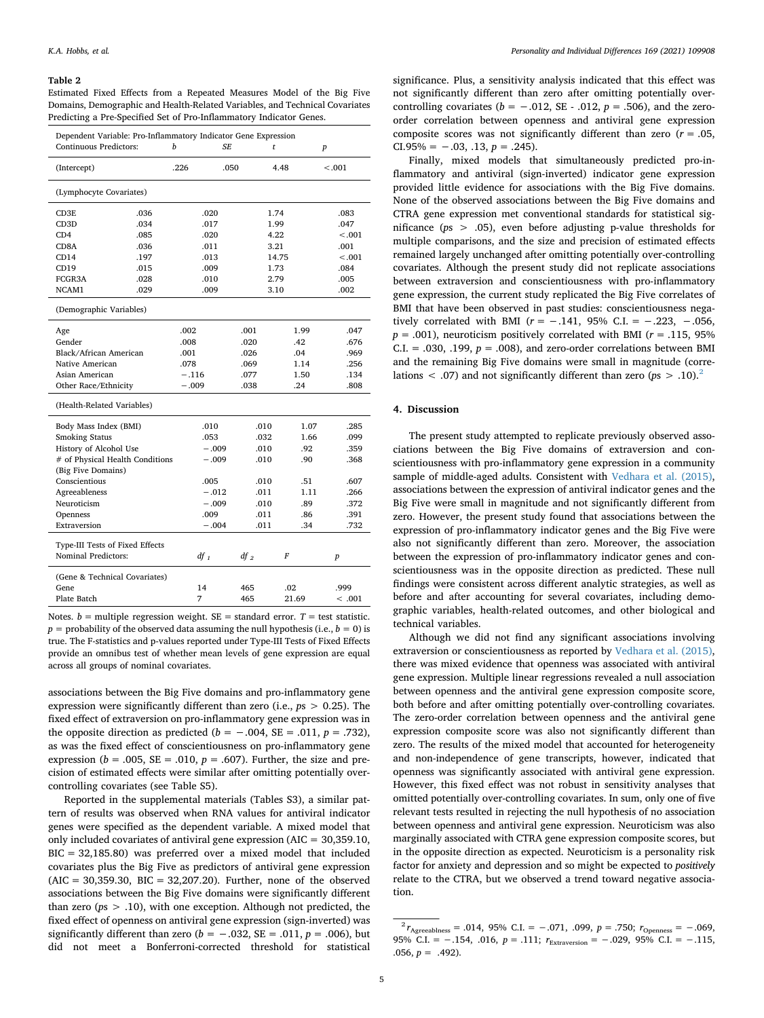#### <span id="page-4-0"></span>**Table 2**

Estimated Fixed Effects from a Repeated Measures Model of the Big Five Domains, Demographic and Health-Related Variables, and Technical Covariates Predicting a Pre-Specified Set of Pro-Inflammatory Indicator Genes.

| Dependent Variable: Pro-Inflammatory Indicator Gene Expression<br>Continuous Predictors: | h<br>SF. |              |  | t      | $\boldsymbol{p}$ |         |  |  |
|------------------------------------------------------------------------------------------|----------|--------------|--|--------|------------------|---------|--|--|
| (Intercept)                                                                              |          | .226<br>.050 |  |        | 4.48             | < 0.001 |  |  |
| (Lymphocyte Covariates)                                                                  |          |              |  |        |                  |         |  |  |
| CD3E                                                                                     | .036     | .020         |  |        | 1.74             | .083    |  |  |
| CD <sub>3</sub> D                                                                        | .034     | .017         |  |        | 1.99             | .047    |  |  |
| CD4                                                                                      | .085     | .020         |  |        | 4.22             | < .001  |  |  |
| CD <sub>8</sub> A                                                                        | .036     | .011         |  |        | 3.21             | .001    |  |  |
| CD14                                                                                     | .197     | .013         |  |        | 14.75            | < .001  |  |  |
| CD19                                                                                     | .015     | .009         |  |        | 1.73             | .084    |  |  |
| FCGR3A                                                                                   | .028     | .010         |  |        | 2.79             | .005    |  |  |
| NCAM1                                                                                    | .029     | .009         |  |        | 3.10             | .002    |  |  |
| (Demographic Variables)                                                                  |          |              |  |        |                  |         |  |  |
| Age                                                                                      |          | .002         |  | .001   | 1.99             | .047    |  |  |
| Gender                                                                                   |          | .008         |  | .020   | .42              | .676    |  |  |
| Black/African American                                                                   |          | .001         |  | .026   | .04              | .969    |  |  |
| Native American                                                                          |          | .078         |  | .069   | 1.14             | .256    |  |  |
| Asian American                                                                           |          | $-.116$      |  | .077   | 1.50             | .134    |  |  |
| Other Race/Ethnicity                                                                     |          | $-.009$      |  | .038   | .24              | .808    |  |  |
| (Health-Related Variables)                                                               |          |              |  |        |                  |         |  |  |
| Body Mass Index (BMI)                                                                    |          | .010         |  | .010   | 1.07             | .285    |  |  |
| <b>Smoking Status</b>                                                                    |          | .053         |  | .032   | 1.66             | .099    |  |  |
| History of Alcohol Use                                                                   |          | $-.009$      |  | .010   | .92              | .359    |  |  |
| # of Physical Health Conditions                                                          |          | $-.009$      |  | .010   | .90              | .368    |  |  |
| (Big Five Domains)                                                                       |          |              |  |        |                  |         |  |  |
| Conscientious                                                                            |          | .005         |  | .010   | .51              | .607    |  |  |
| Agreeableness                                                                            |          | $-.012$      |  | .011   | 1.11             | .266    |  |  |
| Neuroticism                                                                              |          | $-.009$      |  | .010   | .89              | .372    |  |  |
| Openness                                                                                 |          | .009         |  | .011   | .86              | .391    |  |  |
| Extraversion                                                                             |          | $-.004$      |  | .011   | .34              | .732    |  |  |
|                                                                                          |          |              |  |        |                  |         |  |  |
| Type-III Tests of Fixed Effects                                                          |          |              |  |        |                  |         |  |  |
| Nominal Predictors:                                                                      |          | $df_1$       |  | $df_2$ | F                | p       |  |  |
| (Gene & Technical Covariates)                                                            |          |              |  |        |                  |         |  |  |
| Gene                                                                                     |          | 14           |  | 465    | .02              | .999    |  |  |
| Plate Batch                                                                              |          | 7            |  | 465    | 21.69            | <.001   |  |  |

Notes.  $b =$  multiple regression weight.  $SE =$  standard error.  $T =$  test statistic.  $p =$  probability of the observed data assuming the null hypothesis (i.e.,  $b = 0$ ) is true. The F-statistics and p-values reported under Type-III Tests of Fixed Effects provide an omnibus test of whether mean levels of gene expression are equal across all groups of nominal covariates.

associations between the Big Five domains and pro-inflammatory gene expression were significantly different than zero (i.e., *p*s > 0.25). The fixed effect of extraversion on pro-inflammatory gene expression was in the opposite direction as predicted ( $b = -.004$ , SE = .011,  $p = .732$ ), as was the fixed effect of conscientiousness on pro-inflammatory gene expression ( $b = .005$ ,  $SE = .010$ ,  $p = .607$ ). Further, the size and precision of estimated effects were similar after omitting potentially overcontrolling covariates (see Table S5).

Reported in the supplemental materials (Tables S3), a similar pattern of results was observed when RNA values for antiviral indicator genes were specified as the dependent variable. A mixed model that only included covariates of antiviral gene expression (AIC = 30,359.10, BIC = 32,185.80) was preferred over a mixed model that included covariates plus the Big Five as predictors of antiviral gene expression  $(AIC = 30,359.30, BIC = 32,207.20)$ . Further, none of the observed associations between the Big Five domains were significantly different than zero ( $ps > .10$ ), with one exception. Although not predicted, the fixed effect of openness on antiviral gene expression (sign-inverted) was significantly different than zero ( $b = -.032$ , SE = .011,  $p = .006$ ), but did not meet a Bonferroni-corrected threshold for statistical

significance. Plus, a sensitivity analysis indicated that this effect was not significantly different than zero after omitting potentially overcontrolling covariates ( $b = -.012$ , SE - .012,  $p = .506$ ), and the zeroorder correlation between openness and antiviral gene expression composite scores was not significantly different than zero (*r* = .05, CI.95% =  $-.03, .13, p = .245$ ).

Finally, mixed models that simultaneously predicted pro-inflammatory and antiviral (sign-inverted) indicator gene expression provided little evidence for associations with the Big Five domains. None of the observed associations between the Big Five domains and CTRA gene expression met conventional standards for statistical significance (*p*s > .05), even before adjusting p-value thresholds for multiple comparisons, and the size and precision of estimated effects remained largely unchanged after omitting potentially over-controlling covariates. Although the present study did not replicate associations between extraversion and conscientiousness with pro-inflammatory gene expression, the current study replicated the Big Five correlates of BMI that have been observed in past studies: conscientiousness negatively correlated with BMI ( $r = -.141$ , 95% C.I. =  $-.223$ ,  $-.056$ ,  $p = .001$ ), neuroticism positively correlated with BMI ( $r = .115, 95\%$ ) C.I. = .030, .199,  $p = .008$ ), and zero-order correlations between BMI and the remaining Big Five domains were small in magnitude (correlations < .07) and not significantly different than zero (*p*s > .10).[2](#page-4-1)

#### **4. Discussion**

The present study attempted to replicate previously observed associations between the Big Five domains of extraversion and conscientiousness with pro-inflammatory gene expression in a community sample of middle-aged adults. Consistent with [Vedhara et al. \(2015\)](#page-6-3), associations between the expression of antiviral indicator genes and the Big Five were small in magnitude and not significantly different from zero. However, the present study found that associations between the expression of pro-inflammatory indicator genes and the Big Five were also not significantly different than zero. Moreover, the association between the expression of pro-inflammatory indicator genes and conscientiousness was in the opposite direction as predicted. These null findings were consistent across different analytic strategies, as well as before and after accounting for several covariates, including demographic variables, health-related outcomes, and other biological and technical variables.

Although we did not find any significant associations involving extraversion or conscientiousness as reported by [Vedhara et al. \(2015\)](#page-6-3), there was mixed evidence that openness was associated with antiviral gene expression. Multiple linear regressions revealed a null association between openness and the antiviral gene expression composite score, both before and after omitting potentially over-controlling covariates. The zero-order correlation between openness and the antiviral gene expression composite score was also not significantly different than zero. The results of the mixed model that accounted for heterogeneity and non-independence of gene transcripts, however, indicated that openness was significantly associated with antiviral gene expression. However, this fixed effect was not robust in sensitivity analyses that omitted potentially over-controlling covariates. In sum, only one of five relevant tests resulted in rejecting the null hypothesis of no association between openness and antiviral gene expression. Neuroticism was also marginally associated with CTRA gene expression composite scores, but in the opposite direction as expected. Neuroticism is a personality risk factor for anxiety and depression and so might be expected to *positively* relate to the CTRA, but we observed a trend toward negative association.

<span id="page-4-1"></span> $^{2}r_{\text{Agreeabness}} = .014, 95\% \text{ C.I.} = -.071, .099, p = .750; r_{\text{Openness}} = -.069,$ 95% C.I. = −.154, .016, *p* = .111;  $r_{\text{Extraversion}}$  = −.029, 95% C.I. = −.115, .056,  $p = .492$ ).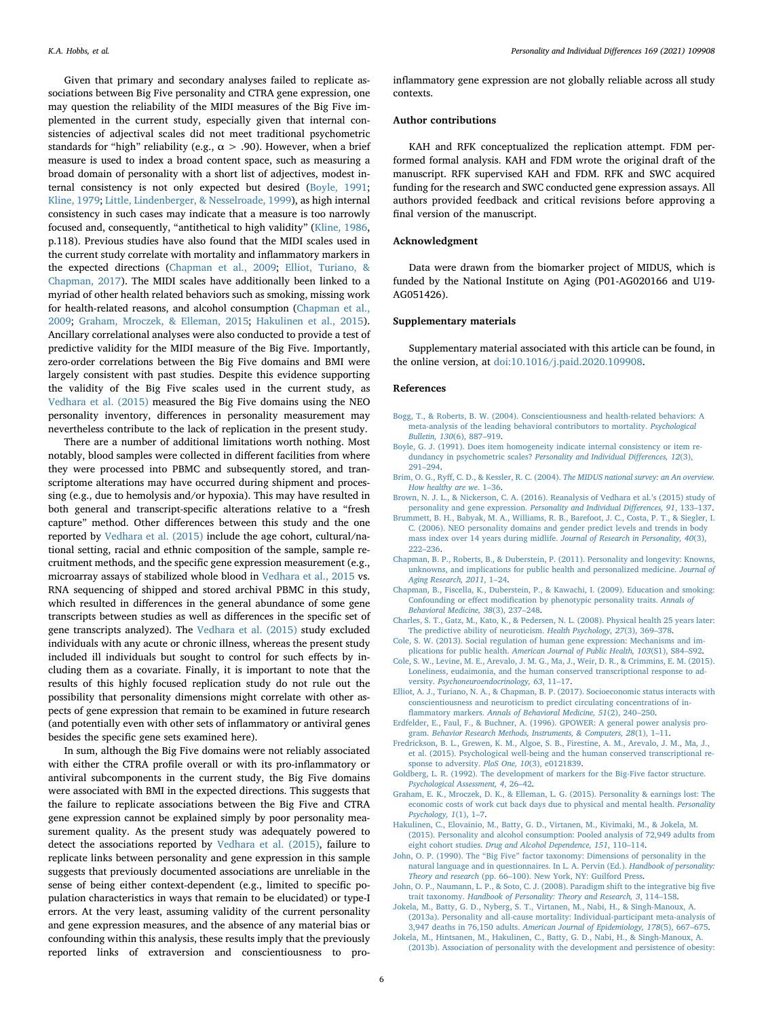Given that primary and secondary analyses failed to replicate associations between Big Five personality and CTRA gene expression, one may question the reliability of the MIDI measures of the Big Five implemented in the current study, especially given that internal consistencies of adjectival scales did not meet traditional psychometric standards for "high" reliability (e.g.,  $\alpha$  > .90). However, when a brief measure is used to index a broad content space, such as measuring a broad domain of personality with a short list of adjectives, modest internal consistency is not only expected but desired ([Boyle, 1991](#page-5-16); [Kline, 1979;](#page-6-12) [Little, Lindenberger, & Nesselroade, 1999](#page-6-13)), as high internal consistency in such cases may indicate that a measure is too narrowly focused and, consequently, "antithetical to high validity" [\(Kline, 1986](#page-6-14), p.118). Previous studies have also found that the MIDI scales used in the current study correlate with mortality and inflammatory markers in the expected directions [\(Chapman et al., 2009](#page-5-13); [Elliot, Turiano, &](#page-5-17) [Chapman, 2017](#page-5-17)). The MIDI scales have additionally been linked to a myriad of other health related behaviors such as smoking, missing work for health-related reasons, and alcohol consumption [\(Chapman et al.,](#page-5-13) [2009;](#page-5-13) [Graham, Mroczek, & Elleman, 2015;](#page-5-18) [Hakulinen et al., 2015](#page-5-19)). Ancillary correlational analyses were also conducted to provide a test of predictive validity for the MIDI measure of the Big Five. Importantly, zero-order correlations between the Big Five domains and BMI were largely consistent with past studies. Despite this evidence supporting the validity of the Big Five scales used in the current study, as [Vedhara et al. \(2015\)](#page-6-3) measured the Big Five domains using the NEO personality inventory, differences in personality measurement may nevertheless contribute to the lack of replication in the present study.

There are a number of additional limitations worth nothing. Most notably, blood samples were collected in different facilities from where they were processed into PBMC and subsequently stored, and transcriptome alterations may have occurred during shipment and processing (e.g., due to hemolysis and/or hypoxia). This may have resulted in both general and transcript-specific alterations relative to a "fresh capture" method. Other differences between this study and the one reported by [Vedhara et al. \(2015\)](#page-6-3) include the age cohort, cultural/national setting, racial and ethnic composition of the sample, sample recruitment methods, and the specific gene expression measurement (e.g., microarray assays of stabilized whole blood in [Vedhara et al., 2015](#page-6-3) vs. RNA sequencing of shipped and stored archival PBMC in this study, which resulted in differences in the general abundance of some gene transcripts between studies as well as differences in the specific set of gene transcripts analyzed). The [Vedhara et al. \(2015\)](#page-6-3) study excluded individuals with any acute or chronic illness, whereas the present study included ill individuals but sought to control for such effects by including them as a covariate. Finally, it is important to note that the results of this highly focused replication study do not rule out the possibility that personality dimensions might correlate with other aspects of gene expression that remain to be examined in future research (and potentially even with other sets of inflammatory or antiviral genes besides the specific gene sets examined here).

In sum, although the Big Five domains were not reliably associated with either the CTRA profile overall or with its pro-inflammatory or antiviral subcomponents in the current study, the Big Five domains were associated with BMI in the expected directions. This suggests that the failure to replicate associations between the Big Five and CTRA gene expression cannot be explained simply by poor personality measurement quality. As the present study was adequately powered to detect the associations reported by [Vedhara et al. \(2015\)](#page-6-3), failure to replicate links between personality and gene expression in this sample suggests that previously documented associations are unreliable in the sense of being either context-dependent (e.g., limited to specific population characteristics in ways that remain to be elucidated) or type-I errors. At the very least, assuming validity of the current personality and gene expression measures, and the absence of any material bias or confounding within this analysis, these results imply that the previously reported links of extraversion and conscientiousness to proinflammatory gene expression are not globally reliable across all study contexts.

#### **Author contributions**

KAH and RFK conceptualized the replication attempt. FDM performed formal analysis. KAH and FDM wrote the original draft of the manuscript. RFK supervised KAH and FDM. RFK and SWC acquired funding for the research and SWC conducted gene expression assays. All authors provided feedback and critical revisions before approving a final version of the manuscript.

#### **Acknowledgment**

Data were drawn from the biomarker project of MIDUS, which is funded by the National Institute on Aging (P01-AG020166 and U19- AG051426).

#### **Supplementary materials**

Supplementary material associated with this article can be found, in the online version, at [doi:10.1016/j.paid.2020.109908](https://doi.org/10.1016/j.paid.2020.109908).

#### **References**

- <span id="page-5-3"></span>[Bogg, T., & Roberts, B. W. \(2004\). Conscientiousness and health-related behaviors: A](http://refhub.elsevier.com/S0191-8869(20)30097-0/sbref0002) [meta-analysis of the leading behavioral contributors to mortality.](http://refhub.elsevier.com/S0191-8869(20)30097-0/sbref0002) *Psychological Bulletin, 130*[\(6\), 887–919.](http://refhub.elsevier.com/S0191-8869(20)30097-0/sbref0002)
- <span id="page-5-16"></span>[Boyle, G. J. \(1991\). Does item homogeneity indicate internal consistency or item re](http://refhub.elsevier.com/S0191-8869(20)30097-0/sbref0003)dundancy in psychometric scales? *[Personality and Individual Differences, 12](http://refhub.elsevier.com/S0191-8869(20)30097-0/sbref0003)*(3), [291–294](http://refhub.elsevier.com/S0191-8869(20)30097-0/sbref0003).
- <span id="page-5-8"></span>[Brim, O. G., Ryff, C. D., & Kessler, R. C. \(2004\).](http://refhub.elsevier.com/S0191-8869(20)30097-0/sbref0005) *The MIDUS national survey: an An overview. [How healthy are we](http://refhub.elsevier.com/S0191-8869(20)30097-0/sbref0005)*. 1–36.
- <span id="page-5-7"></span>[Brown, N. J. L., & Nickerson, C. A. \(2016\). Reanalysis of Vedhara et al.'s \(2015\) study of](http://refhub.elsevier.com/S0191-8869(20)30097-0/sbref0007) personality and gene expression. *[Personality and Individual Differences, 91](http://refhub.elsevier.com/S0191-8869(20)30097-0/sbref0007)*, 133–137.
- <span id="page-5-12"></span>[Brummett, B. H., Babyak, M. A., Williams, R. B., Barefoot, J. C., Costa, P. T., & Siegler, I.](http://refhub.elsevier.com/S0191-8869(20)30097-0/sbref0008) [C. \(2006\). NEO personality domains and gender predict levels and trends in body](http://refhub.elsevier.com/S0191-8869(20)30097-0/sbref0008) [mass index over 14 years during midlife.](http://refhub.elsevier.com/S0191-8869(20)30097-0/sbref0008) *Journal of Research in Personality, 40*(3), [222–236](http://refhub.elsevier.com/S0191-8869(20)30097-0/sbref0008).
- <span id="page-5-1"></span>[Chapman, B. P., Roberts, B., & Duberstein, P. \(2011\). Personality and longevity: Knowns,](http://refhub.elsevier.com/S0191-8869(20)30097-0/sbref0010) [unknowns, and implications for public health and personalized medicine.](http://refhub.elsevier.com/S0191-8869(20)30097-0/sbref0010) *Journal of [Aging Research, 2011](http://refhub.elsevier.com/S0191-8869(20)30097-0/sbref0010)*, 1–24.
- <span id="page-5-13"></span>[Chapman, B., Fiscella, K., Duberstein, P., & Kawachi, I. \(2009\). Education and smoking:](http://refhub.elsevier.com/S0191-8869(20)30097-0/sbref0011) [Confounding or effect modification by phenotypic personality traits.](http://refhub.elsevier.com/S0191-8869(20)30097-0/sbref0011) *Annals of [Behavioral Medicine, 38](http://refhub.elsevier.com/S0191-8869(20)30097-0/sbref0011)*(3), 237–248.
- <span id="page-5-2"></span>[Charles, S. T., Gatz, M., Kato, K., & Pedersen, N. L. \(2008\). Physical health 25 years later:](http://refhub.elsevier.com/S0191-8869(20)30097-0/sbref0012) [The predictive ability of neuroticism.](http://refhub.elsevier.com/S0191-8869(20)30097-0/sbref0012) *Health Psychology, 27*(3), 369–378.
- <span id="page-5-5"></span>[Cole, S. W. \(2013\). Social regulation of human gene expression: Mechanisms and im](http://refhub.elsevier.com/S0191-8869(20)30097-0/sbref0013)plications for public health. *[American Journal of Public Health, 103](http://refhub.elsevier.com/S0191-8869(20)30097-0/sbref0013)*(S1), S84–S92.
- <span id="page-5-6"></span>[Cole, S. W., Levine, M. E., Arevalo, J. M. G., Ma, J., Weir, D. R., & Crimmins, E. M. \(2015\).](http://refhub.elsevier.com/S0191-8869(20)30097-0/sbref0014) [Loneliness, eudaimonia, and the human conserved transcriptional response to ad](http://refhub.elsevier.com/S0191-8869(20)30097-0/sbref0014)versity. *[Psychoneuroendocrinology, 63](http://refhub.elsevier.com/S0191-8869(20)30097-0/sbref0014)*, 11–17.
- <span id="page-5-17"></span>[Elliot, A. J., Turiano, N. A., & Chapman, B. P. \(2017\). Socioeconomic status interacts with](http://refhub.elsevier.com/S0191-8869(20)30097-0/sbref0015) [conscientiousness and neuroticism to predict circulating concentrations of in](http://refhub.elsevier.com/S0191-8869(20)30097-0/sbref0015)flammatory markers. *[Annals of Behavioral Medicine, 51](http://refhub.elsevier.com/S0191-8869(20)30097-0/sbref0015)*(2), 240–250.
- <span id="page-5-9"></span>[Erdfelder, E., Faul, F., & Buchner, A. \(1996\). GPOWER: A general power analysis pro](http://refhub.elsevier.com/S0191-8869(20)30097-0/sbref0016)gram. *[Behavior Research Methods, Instruments, & Computers, 28](http://refhub.elsevier.com/S0191-8869(20)30097-0/sbref0016)*(1), 1–11.
- <span id="page-5-15"></span>[Fredrickson, B. L., Grewen, K. M., Algoe, S. B., Firestine, A. M., Arevalo, J. M., Ma, J.,](http://refhub.elsevier.com/S0191-8869(20)30097-0/sbref0017) [et al. \(2015\). Psychological well-being and the human conserved transcriptional re](http://refhub.elsevier.com/S0191-8869(20)30097-0/sbref0017)[sponse to adversity.](http://refhub.elsevier.com/S0191-8869(20)30097-0/sbref0017) *PloS One, 10*(3), e0121839.
- <span id="page-5-10"></span>[Goldberg, L. R. \(1992\). The development of markers for the Big-Five factor structure.](http://refhub.elsevier.com/S0191-8869(20)30097-0/sbref0019) *[Psychological Assessment, 4](http://refhub.elsevier.com/S0191-8869(20)30097-0/sbref0019)*, 26–42.
- <span id="page-5-18"></span>[Graham, E. K., Mroczek, D. K., & Elleman, L. G. \(2015\). Personality & earnings lost: The](http://refhub.elsevier.com/S0191-8869(20)30097-0/sbref0020) [economic costs of work cut back days due to physical and mental health.](http://refhub.elsevier.com/S0191-8869(20)30097-0/sbref0020) *Personality [Psychology, 1](http://refhub.elsevier.com/S0191-8869(20)30097-0/sbref0020)*(1), 1–7.
- <span id="page-5-19"></span>[Hakulinen, C., Elovainio, M., Batty, G. D., Virtanen, M., Kivimaki, M., & Jokela, M.](http://refhub.elsevier.com/S0191-8869(20)30097-0/sbref0021) [\(2015\). Personality and alcohol consumption: Pooled analysis of 72,949 adults from](http://refhub.elsevier.com/S0191-8869(20)30097-0/sbref0021) eight cohort studies. *[Drug and Alcohol Dependence, 151](http://refhub.elsevier.com/S0191-8869(20)30097-0/sbref0021)*, 110–114.
- <span id="page-5-11"></span>[John, O. P. \(1990\). The "Big Five" factor taxonomy: Dimensions of personality in the](http://refhub.elsevier.com/S0191-8869(20)30097-0/sbref0022) [natural language and in questionnaires. In L. A. Pervin \(Ed.\).](http://refhub.elsevier.com/S0191-8869(20)30097-0/sbref0022) *Handbook of personality: Theory and research* [\(pp. 66–100\). New York, NY: Guilford Press](http://refhub.elsevier.com/S0191-8869(20)30097-0/sbref0022).
- <span id="page-5-0"></span>[John, O. P., Naumann, L. P., & Soto, C. J. \(2008\). Paradigm shift to the integrative big five](http://refhub.elsevier.com/S0191-8869(20)30097-0/sbref0023) trait taxonomy. *[Handbook of Personality: Theory and Research, 3](http://refhub.elsevier.com/S0191-8869(20)30097-0/sbref0023)*, 114–158.
- <span id="page-5-4"></span>[Jokela, M., Batty, G. D., Nyberg, S. T., Virtanen, M., Nabi, H., & Singh-Manoux, A.](http://refhub.elsevier.com/S0191-8869(20)30097-0/sbref0024) [\(2013a\). Personality and all-cause mortality: Individual-participant meta-analysis of](http://refhub.elsevier.com/S0191-8869(20)30097-0/sbref0024) 3,947 deaths in 76,150 adults. *[American Journal of Epidemiology, 178](http://refhub.elsevier.com/S0191-8869(20)30097-0/sbref0024)*(5), 667–675.
- <span id="page-5-14"></span>[Jokela, M., Hintsanen, M., Hakulinen, C., Batty, G. D., Nabi, H., & Singh-Manoux, A.](http://refhub.elsevier.com/S0191-8869(20)30097-0/sbref0025) [\(2013b\). Association of personality with the development and persistence of obesity:](http://refhub.elsevier.com/S0191-8869(20)30097-0/sbref0025)